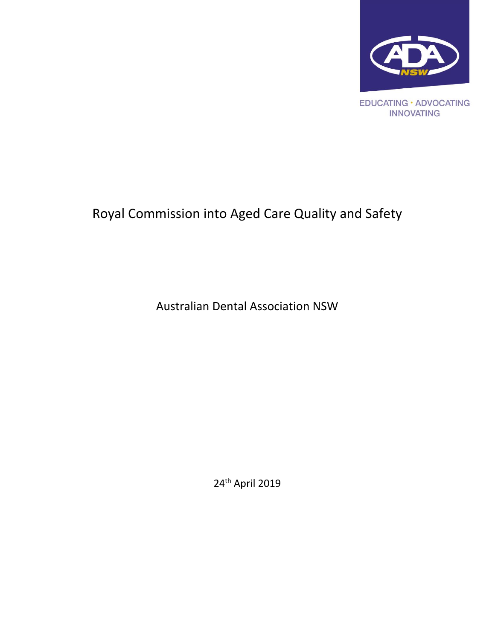

# Royal Commission into Aged Care Quality and Safety

Australian Dental Association NSW

24th April 2019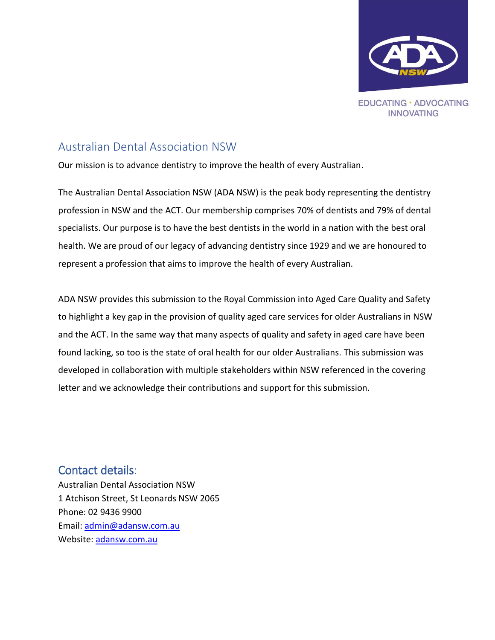

### <span id="page-1-0"></span>Australian Dental Association NSW

Our mission is to advance dentistry to improve the health of every Australian.

The Australian Dental Association NSW (ADA NSW) is the peak body representing the dentistry profession in NSW and the ACT. Our membership comprises 70% of dentists and 79% of dental specialists. Our purpose is to have the best dentists in the world in a nation with the best oral health. We are proud of our legacy of advancing dentistry since 1929 and we are honoured to represent a profession that aims to improve the health of every Australian.

ADA NSW provides this submission to the Royal Commission into Aged Care Quality and Safety to highlight a key gap in the provision of quality aged care services for older Australians in NSW and the ACT. In the same way that many aspects of quality and safety in aged care have been found lacking, so too is the state of oral health for our older Australians. This submission was developed in collaboration with multiple stakeholders within NSW referenced in the covering letter and we acknowledge their contributions and support for this submission.

<span id="page-1-1"></span>Contact details: Australian Dental Association NSW 1 Atchison Street, St Leonards NSW 2065 Phone: 02 9436 9900 Email: [admin@adansw.com.au](mailto:admin@adansw.com.au) Website: [adansw.com.au](http://www.adansw.com.au/)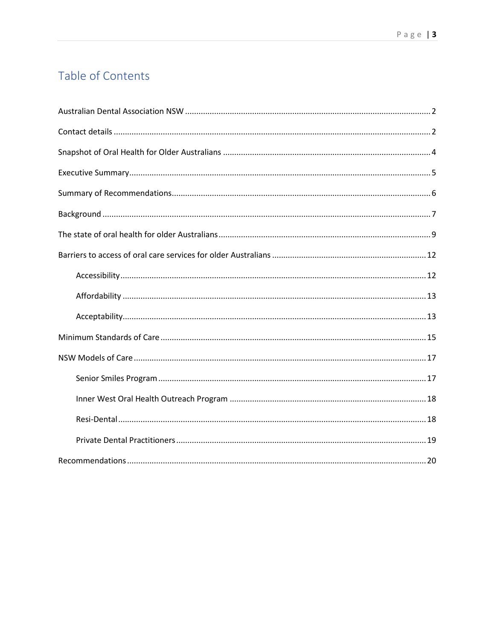# Table of Contents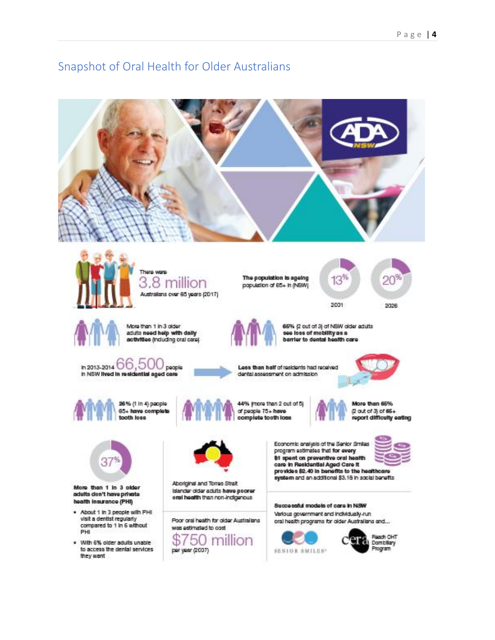### <span id="page-3-1"></span><span id="page-3-0"></span>Snapshot of Oral Health for Older Australians

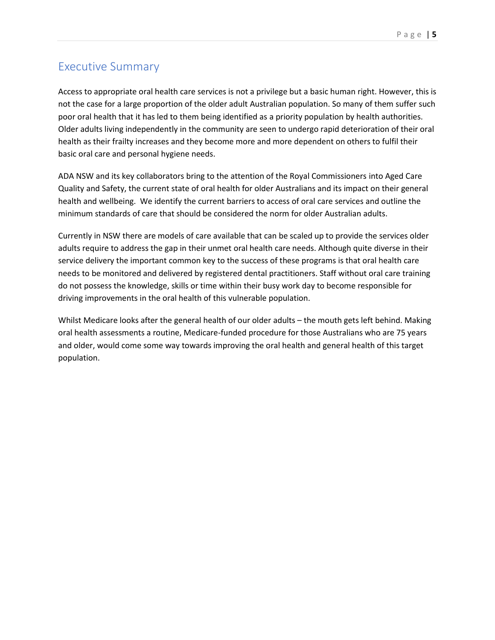### Executive Summary

Access to appropriate oral health care services is not a privilege but a basic human right. However, this is not the case for a large proportion of the older adult Australian population. So many of them suffer such poor oral health that it has led to them being identified as a priority population by health authorities. Older adults living independently in the community are seen to undergo rapid deterioration of their oral health as their frailty increases and they become more and more dependent on others to fulfil their basic oral care and personal hygiene needs.

ADA NSW and its key collaborators bring to the attention of the Royal Commissioners into Aged Care Quality and Safety, the current state of oral health for older Australians and its impact on their general health and wellbeing. We identify the current barriers to access of oral care services and outline the minimum standards of care that should be considered the norm for older Australian adults.

Currently in NSW there are models of care available that can be scaled up to provide the services older adults require to address the gap in their unmet oral health care needs. Although quite diverse in their service delivery the important common key to the success of these programs is that oral health care needs to be monitored and delivered by registered dental practitioners. Staff without oral care training do not possess the knowledge, skills or time within their busy work day to become responsible for driving improvements in the oral health of this vulnerable population.

Whilst Medicare looks after the general health of our older adults – the mouth gets left behind. Making oral health assessments a routine, Medicare-funded procedure for those Australians who are 75 years and older, would come some way towards improving the oral health and general health of this target population.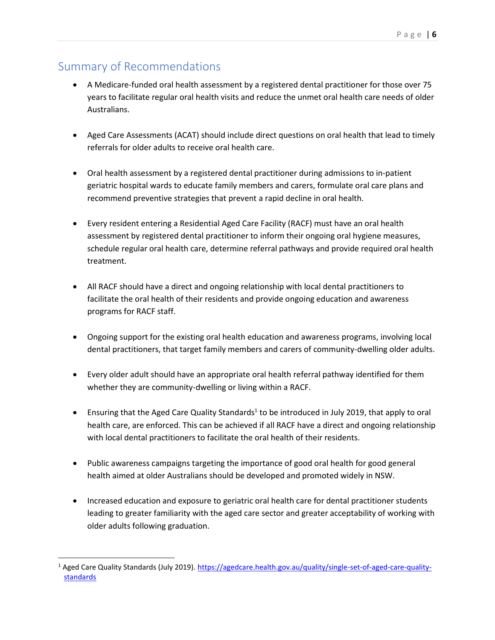## <span id="page-5-0"></span>Summary of Recommendations

 $\overline{\phantom{a}}$ 

- A Medicare-funded oral health assessment by a registered dental practitioner for those over 75 years to facilitate regular oral health visits and reduce the unmet oral health care needs of older Australians.
- Aged Care Assessments (ACAT) should include direct questions on oral health that lead to timely referrals for older adults to receive oral health care.
- Oral health assessment by a registered dental practitioner during admissions to in-patient geriatric hospital wards to educate family members and carers, formulate oral care plans and recommend preventive strategies that prevent a rapid decline in oral health.
- Every resident entering a Residential Aged Care Facility (RACF) must have an oral health assessment by registered dental practitioner to inform their ongoing oral hygiene measures, schedule regular oral health care, determine referral pathways and provide required oral health treatment.
- All RACF should have a direct and ongoing relationship with local dental practitioners to facilitate the oral health of their residents and provide ongoing education and awareness programs for RACF staff.
- Ongoing support for the existing oral health education and awareness programs, involving local dental practitioners, that target family members and carers of community-dwelling older adults.
- Every older adult should have an appropriate oral health referral pathway identified for them whether they are community-dwelling or living within a RACF.
- Ensuring that the Aged Care Quality Standards<sup>1</sup> to be introduced in July 2019, that apply to oral health care, are enforced. This can be achieved if all RACF have a direct and ongoing relationship with local dental practitioners to facilitate the oral health of their residents.
- Public awareness campaigns targeting the importance of good oral health for good general health aimed at older Australians should be developed and promoted widely in NSW.
- Increased education and exposure to geriatric oral health care for dental practitioner students leading to greater familiarity with the aged care sector and greater acceptability of working with older adults following graduation.

<sup>&</sup>lt;sup>1</sup> Aged Care Quality Standards (July 2019)[. https://agedcare.health.gov.au/quality/single-set-of-aged-care-quality](https://agedcare.health.gov.au/quality/single-set-of-aged-care-quality-standards)**[standards](https://agedcare.health.gov.au/quality/single-set-of-aged-care-quality-standards)**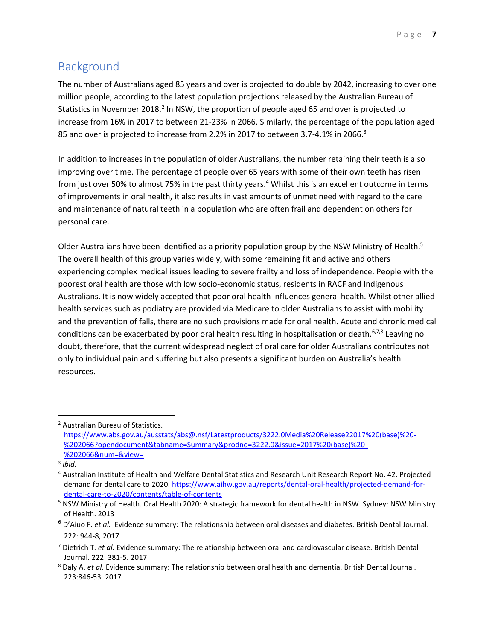# <span id="page-6-0"></span>Background

The number of Australians aged 85 years and over is projected to double by 2042, increasing to over one million people, according to the latest population projections released by the Australian Bureau of Statistics in November 2018.<sup>2</sup> In NSW, the proportion of people aged 65 and over is projected to increase from 16% in 2017 to between 21-23% in 2066. Similarly, the percentage of the population aged 85 and over is projected to increase from 2.2% in 2017 to between 3.7-4.1% in 2066.<sup>3</sup>

In addition to increases in the population of older Australians, the number retaining their teeth is also improving over time. The percentage of people over 65 years with some of their own teeth has risen from just over 50% to almost 75% in the past thirty years.<sup>4</sup> Whilst this is an excellent outcome in terms of improvements in oral health, it also results in vast amounts of unmet need with regard to the care and maintenance of natural teeth in a population who are often frail and dependent on others for personal care.

Older Australians have been identified as a priority population group by the NSW Ministry of Health.<sup>5</sup> The overall health of this group varies widely, with some remaining fit and active and others experiencing complex medical issues leading to severe frailty and loss of independence. People with the poorest oral health are those with low socio-economic status, residents in RACF and Indigenous Australians. It is now widely accepted that poor oral health influences general health. Whilst other allied health services such as podiatry are provided via Medicare to older Australians to assist with mobility and the prevention of falls, there are no such provisions made for oral health. Acute and chronic medical conditions can be exacerbated by poor oral health resulting in hospitalisation or death.<sup>6,7,8</sup> Leaving no doubt, therefore, that the current widespread neglect of oral care for older Australians contributes not only to individual pain and suffering but also presents a significant burden on Australia's health resources.

 $\overline{a}$ 

<sup>2</sup> Australian Bureau of Statistics.

[https://www.abs.gov.au/ausstats/abs@.nsf/Latestproducts/3222.0Media%20Release22017%20\(base\)%20-](https://www.abs.gov.au/ausstats/abs@.nsf/Latestproducts/3222.0Media%20Release22017%20(base)%20-%202066?opendocument&tabname=Summary&prodno=3222.0&issue=2017%20(base)%20-%202066&num=&view=) [%202066?opendocument&tabname=Summary&prodno=3222.0&issue=2017%20\(base\)%20-](https://www.abs.gov.au/ausstats/abs@.nsf/Latestproducts/3222.0Media%20Release22017%20(base)%20-%202066?opendocument&tabname=Summary&prodno=3222.0&issue=2017%20(base)%20-%202066&num=&view=) [%202066&num=&view=](https://www.abs.gov.au/ausstats/abs@.nsf/Latestproducts/3222.0Media%20Release22017%20(base)%20-%202066?opendocument&tabname=Summary&prodno=3222.0&issue=2017%20(base)%20-%202066&num=&view=)

<sup>3</sup> *ibid.*

<sup>4</sup> Australian Institute of Health and Welfare Dental Statistics and Research Unit Research Report No. 42. Projected demand for dental care to 2020. [https://www.aihw.gov.au/reports/dental-oral-health/projected-demand-for](https://www.aihw.gov.au/reports/dental-oral-health/projected-demand-for-dental-care-to-2020/contents/table-of-contents)[dental-care-to-2020/contents/table-of-contents](https://www.aihw.gov.au/reports/dental-oral-health/projected-demand-for-dental-care-to-2020/contents/table-of-contents)

<sup>5</sup> NSW Ministry of Health. Oral Health 2020: A strategic framework for dental health in NSW. Sydney: NSW Ministry of Health. 2013

<sup>6</sup> D'Aiuo F. *et al.* Evidence summary: The relationship between oral diseases and diabetes. British Dental Journal. 222: 944-8, 2017.

<sup>7</sup> Dietrich T. *et al.* Evidence summary: The relationship between oral and cardiovascular disease. British Dental Journal. 222: 381-5. 2017

<sup>8</sup> Daly A. *et al.* Evidence summary: The relationship between oral health and dementia. British Dental Journal. 223:846-53. 2017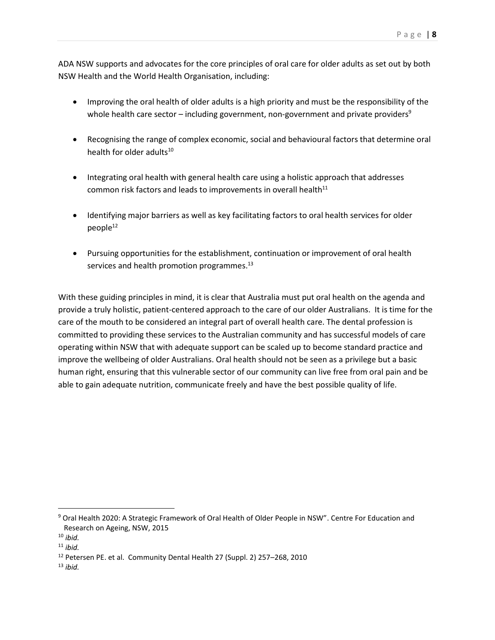ADA NSW supports and advocates for the core principles of oral care for older adults as set out by both NSW Health and the World Health Organisation, including:

- Improving the oral health of older adults is a high priority and must be the responsibility of the whole health care sector – including government, non-government and private providers<sup>9</sup>
- Recognising the range of complex economic, social and behavioural factors that determine oral health for older adults<sup>10</sup>
- Integrating oral health with general health care using a holistic approach that addresses common risk factors and leads to improvements in overall health $11$
- Identifying major barriers as well as key facilitating factors to oral health services for older  $people^{12}$
- Pursuing opportunities for the establishment, continuation or improvement of oral health services and health promotion programmes.<sup>13</sup>

With these guiding principles in mind, it is clear that Australia must put oral health on the agenda and provide a truly holistic, patient-centered approach to the care of our older Australians. It is time for the care of the mouth to be considered an integral part of overall health care. The dental profession is committed to providing these services to the Australian community and has successful models of care operating within NSW that with adequate support can be scaled up to become standard practice and improve the wellbeing of older Australians. Oral health should not be seen as a privilege but a basic human right, ensuring that this vulnerable sector of our community can live free from oral pain and be able to gain adequate nutrition, communicate freely and have the best possible quality of life.

 $\overline{\phantom{a}}$ 

 $13$  *ibid.* 

<sup>9</sup> Oral Health 2020: A Strategic Framework of Oral Health of Older People in NSW". Centre For Education and Research on Ageing, NSW, 2015

<sup>10</sup> *ibid.*

<sup>11</sup> *ibid.*

<sup>12</sup> Petersen PE. et al. Community Dental Health 27 (Suppl. 2) 257–268, 2010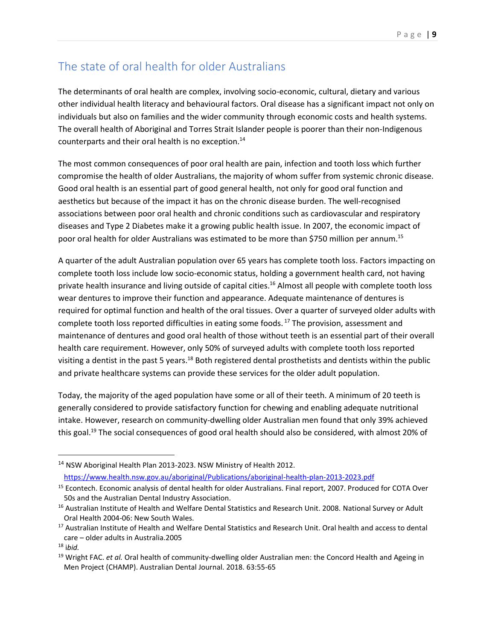# <span id="page-8-0"></span>The state of oral health for older Australians

The determinants of oral health are complex, involving socio-economic, cultural, dietary and various other individual health literacy and behavioural factors. Oral disease has a significant impact not only on individuals but also on families and the wider community through economic costs and health systems. The overall health of Aboriginal and Torres Strait Islander people is poorer than their non-Indigenous counterparts and their oral health is no exception. 14

The most common consequences of poor oral health are pain, infection and tooth loss which further compromise the health of older Australians, the majority of whom suffer from systemic chronic disease. Good oral health is an essential part of good general health, not only for good oral function and aesthetics but because of the impact it has on the chronic disease burden. The well-recognised associations between poor oral health and chronic conditions such as cardiovascular and respiratory diseases and Type 2 Diabetes make it a growing public health issue. In 2007, the economic impact of poor oral health for older Australians was estimated to be more than \$750 million per annum.<sup>15</sup>

A quarter of the adult Australian population over 65 years has complete tooth loss. Factors impacting on complete tooth loss include low socio-economic status, holding a government health card, not having private health insurance and living outside of capital cities.<sup>16</sup> Almost all people with complete tooth loss wear dentures to improve their function and appearance. Adequate maintenance of dentures is required for optimal function and health of the oral tissues. Over a quarter of surveyed older adults with complete tooth loss reported difficulties in eating some foods.<sup>17</sup> The provision, assessment and maintenance of dentures and good oral health of those without teeth is an essential part of their overall health care requirement. However, only 50% of surveyed adults with complete tooth loss reported visiting a dentist in the past 5 years.<sup>18</sup> Both registered dental prosthetists and dentists within the public and private healthcare systems can provide these services for the older adult population.

Today, the majority of the aged population have some or all of their teeth. A minimum of 20 teeth is generally considered to provide satisfactory function for chewing and enabling adequate nutritional intake. However, research on community-dwelling older Australian men found that only 39% achieved this goal.<sup>19</sup> The social consequences of good oral health should also be considered, with almost 20% of

l

<sup>&</sup>lt;sup>14</sup> NSW Aboriginal Health Plan 2013-2023. NSW Ministry of Health 2012. <https://www.health.nsw.gov.au/aboriginal/Publications/aboriginal-health-plan-2013-2023.pdf>

<sup>&</sup>lt;sup>15</sup> Econtech. Economic analysis of dental health for older Australians. Final report, 2007. Produced for COTA Over 50s and the Australian Dental Industry Association.

<sup>&</sup>lt;sup>16</sup> Australian Institute of Health and Welfare Dental Statistics and Research Unit. 2008. National Survey or Adult Oral Health 2004-06: New South Wales.

<sup>&</sup>lt;sup>17</sup> Australian Institute of Health and Welfare Dental Statistics and Research Unit. Oral health and access to dental care – older adults in Australia.2005

<sup>18</sup> i*bid.*

<sup>19</sup> Wright FAC. *et al.* Oral health of community-dwelling older Australian men: the Concord Health and Ageing in Men Project (CHAMP). Australian Dental Journal. 2018. 63:55-65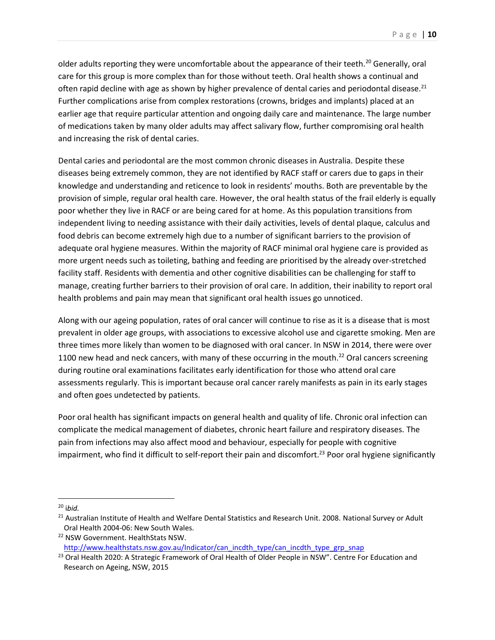older adults reporting they were uncomfortable about the appearance of their teeth.<sup>20</sup> Generally, oral care for this group is more complex than for those without teeth. Oral health shows a continual and often rapid decline with age as shown by higher prevalence of dental caries and periodontal disease.<sup>21</sup> Further complications arise from complex restorations (crowns, bridges and implants) placed at an earlier age that require particular attention and ongoing daily care and maintenance. The large number of medications taken by many older adults may affect salivary flow, further compromising oral health and increasing the risk of dental caries.

Dental caries and periodontal are the most common chronic diseases in Australia. Despite these diseases being extremely common, they are not identified by RACF staff or carers due to gaps in their knowledge and understanding and reticence to look in residents' mouths. Both are preventable by the provision of simple, regular oral health care. However, the oral health status of the frail elderly is equally poor whether they live in RACF or are being cared for at home. As this population transitions from independent living to needing assistance with their daily activities, levels of dental plaque, calculus and food debris can become extremely high due to a number of significant barriers to the provision of adequate oral hygiene measures. Within the majority of RACF minimal oral hygiene care is provided as more urgent needs such as toileting, bathing and feeding are prioritised by the already over-stretched facility staff. Residents with dementia and other cognitive disabilities can be challenging for staff to manage, creating further barriers to their provision of oral care. In addition, their inability to report oral health problems and pain may mean that significant oral health issues go unnoticed.

Along with our ageing population, rates of oral cancer will continue to rise as it is a disease that is most prevalent in older age groups, with associations to excessive alcohol use and cigarette smoking. Men are three times more likely than women to be diagnosed with oral cancer. In NSW in 2014, there were over 1100 new head and neck cancers, with many of these occurring in the mouth.<sup>22</sup> Oral cancers screening during routine oral examinations facilitates early identification for those who attend oral care assessments regularly. This is important because oral cancer rarely manifests as pain in its early stages and often goes undetected by patients.

Poor oral health has significant impacts on general health and quality of life. Chronic oral infection can complicate the medical management of diabetes, chronic heart failure and respiratory diseases. The pain from infections may also affect mood and behaviour, especially for people with cognitive impairment, who find it difficult to self-report their pain and discomfort.<sup>23</sup> Poor oral hygiene significantly

 $\overline{a}$ 

<sup>20</sup> i*bid.*

<sup>&</sup>lt;sup>21</sup> Australian Institute of Health and Welfare Dental Statistics and Research Unit. 2008. National Survey or Adult Oral Health 2004-06: New South Wales.

<sup>22</sup> NSW Government. HealthStats NSW.

[http://www.healthstats.nsw.gov.au/Indicator/can\\_incdth\\_type/can\\_incdth\\_type\\_grp\\_snap](http://www.healthstats.nsw.gov.au/Indicator/can_incdth_type/can_incdth_type_grp_snap)

<sup>&</sup>lt;sup>23</sup> Oral Health 2020: A Strategic Framework of Oral Health of Older People in NSW". Centre For Education and Research on Ageing, NSW, 2015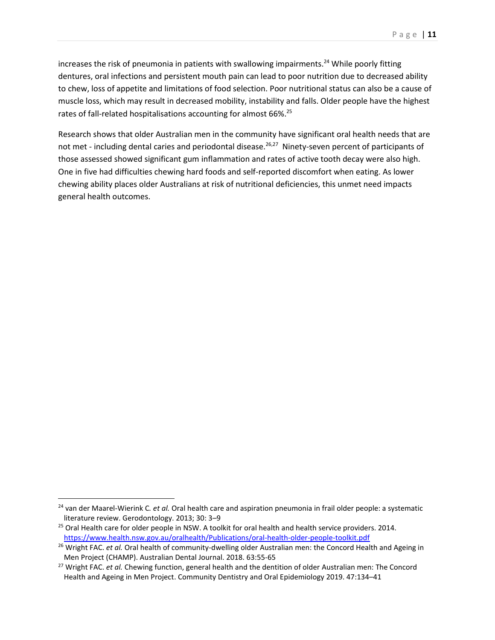increases the risk of pneumonia in patients with swallowing impairments.<sup>24</sup> While poorly fitting dentures, oral infections and persistent mouth pain can lead to poor nutrition due to decreased ability to chew, loss of appetite and limitations of food selection. Poor nutritional status can also be a cause of muscle loss, which may result in decreased mobility, instability and falls. Older people have the highest rates of fall-related hospitalisations accounting for almost 66%.<sup>25</sup>

Research shows that older Australian men in the community have significant oral health needs that are not met - including dental caries and periodontal disease.<sup>26,27</sup> Ninety-seven percent of participants of those assessed showed significant gum inflammation and rates of active tooth decay were also high. One in five had difficulties chewing hard foods and self-reported discomfort when eating. As lower chewing ability places older Australians at risk of nutritional deficiencies, this unmet need impacts general health outcomes.

 $\overline{a}$ 

<sup>24</sup> van der Maarel-Wierink C*. et al.* Oral health care and aspiration pneumonia in frail older people: a systematic literature review. Gerodontology. 2013; 30: 3–9

<sup>&</sup>lt;sup>25</sup> Oral Health care for older people in NSW. A toolkit for oral health and health service providers. 2014. <https://www.health.nsw.gov.au/oralhealth/Publications/oral-health-older-people-toolkit.pdf>

<sup>&</sup>lt;sup>26</sup> Wright FAC. *et al.* Oral health of community-dwelling older Australian men: the Concord Health and Ageing in Men Project (CHAMP). Australian Dental Journal. 2018. 63:55-65

<sup>27</sup> Wright FAC. *et al.* Chewing function, general health and the dentition of older Australian men: The Concord Health and Ageing in Men Project. Community Dentistry and Oral Epidemiology 2019. 47:134–41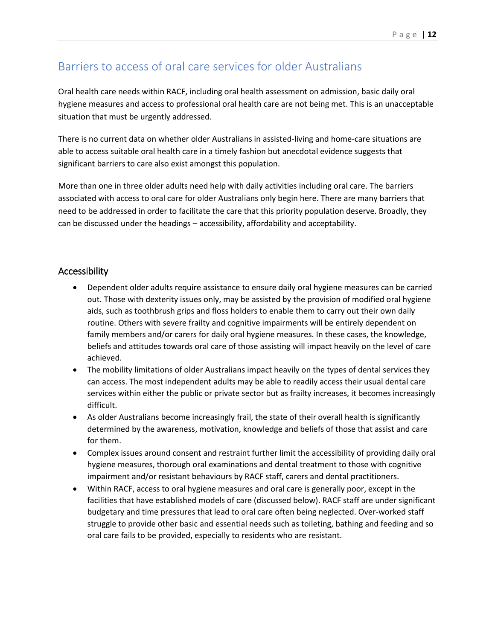### <span id="page-11-0"></span>Barriers to access of oral care services for older Australians

Oral health care needs within RACF, including oral health assessment on admission, basic daily oral hygiene measures and access to professional oral health care are not being met. This is an unacceptable situation that must be urgently addressed.

There is no current data on whether older Australians in assisted-living and home-care situations are able to access suitable oral health care in a timely fashion but anecdotal evidence suggests that significant barriers to care also exist amongst this population.

More than one in three older adults need help with daily activities including oral care. The barriers associated with access to oral care for older Australians only begin here. There are many barriers that need to be addressed in order to facilitate the care that this priority population deserve. Broadly, they can be discussed under the headings – accessibility, affordability and acceptability.

#### <span id="page-11-1"></span>Accessibility

- Dependent older adults require assistance to ensure daily oral hygiene measures can be carried out. Those with dexterity issues only, may be assisted by the provision of modified oral hygiene aids, such as toothbrush grips and floss holders to enable them to carry out their own daily routine. Others with severe frailty and cognitive impairments will be entirely dependent on family members and/or carers for daily oral hygiene measures. In these cases, the knowledge, beliefs and attitudes towards oral care of those assisting will impact heavily on the level of care achieved.
- The mobility limitations of older Australians impact heavily on the types of dental services they can access. The most independent adults may be able to readily access their usual dental care services within either the public or private sector but as frailty increases, it becomes increasingly difficult.
- As older Australians become increasingly frail, the state of their overall health is significantly determined by the awareness, motivation, knowledge and beliefs of those that assist and care for them.
- Complex issues around consent and restraint further limit the accessibility of providing daily oral hygiene measures, thorough oral examinations and dental treatment to those with cognitive impairment and/or resistant behaviours by RACF staff, carers and dental practitioners.
- Within RACF, access to oral hygiene measures and oral care is generally poor, except in the facilities that have established models of care (discussed below). RACF staff are under significant budgetary and time pressures that lead to oral care often being neglected. Over-worked staff struggle to provide other basic and essential needs such as toileting, bathing and feeding and so oral care fails to be provided, especially to residents who are resistant.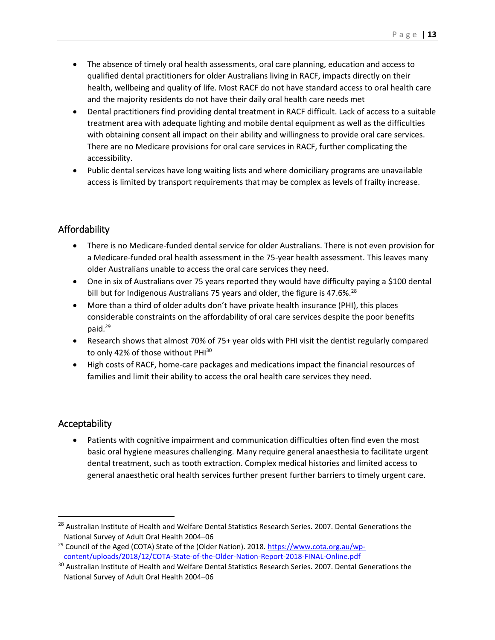- The absence of timely oral health assessments, oral care planning, education and access to qualified dental practitioners for older Australians living in RACF, impacts directly on their health, wellbeing and quality of life. Most RACF do not have standard access to oral health care and the majority residents do not have their daily oral health care needs met
- Dental practitioners find providing dental treatment in RACF difficult. Lack of access to a suitable treatment area with adequate lighting and mobile dental equipment as well as the difficulties with obtaining consent all impact on their ability and willingness to provide oral care services. There are no Medicare provisions for oral care services in RACF, further complicating the accessibility.
- Public dental services have long waiting lists and where domiciliary programs are unavailable access is limited by transport requirements that may be complex as levels of frailty increase.

#### <span id="page-12-0"></span>Affordability

- There is no Medicare-funded dental service for older Australians. There is not even provision for a Medicare-funded oral health assessment in the 75-year health assessment. This leaves many older Australians unable to access the oral care services they need.
- One in six of Australians over 75 years reported they would have difficulty paying a \$100 dental bill but for Indigenous Australians 75 years and older, the figure is 47.6%.<sup>28</sup>
- More than a third of older adults don't have private health insurance (PHI), this places considerable constraints on the affordability of oral care services despite the poor benefits paid.<sup>29</sup>
- Research shows that almost 70% of 75+ year olds with PHI visit the dentist regularly compared to only 42% of those without PHI<sup>30</sup>
- High costs of RACF, home-care packages and medications impact the financial resources of families and limit their ability to access the oral health care services they need.

#### <span id="page-12-1"></span>Acceptability

 $\overline{\phantom{a}}$ 

Patients with cognitive impairment and communication difficulties often find even the most basic oral hygiene measures challenging. Many require general anaesthesia to facilitate urgent dental treatment, such as tooth extraction. Complex medical histories and limited access to general anaesthetic oral health services further present further barriers to timely urgent care.

<sup>&</sup>lt;sup>28</sup> Australian Institute of Health and Welfare Dental Statistics Research Series. 2007. Dental Generations the National Survey of Adult Oral Health 2004–06

<sup>&</sup>lt;sup>29</sup> Council of the Aged (COTA) State of the (Older Nation). 2018. [https://www.cota.org.au/wp](https://www.cota.org.au/wp-content/uploads/2018/12/COTA-State-of-the-Older-Nation-Report-2018-FINAL-Online.pdf)[content/uploads/2018/12/COTA-State-of-the-Older-Nation-Report-2018-FINAL-Online.pdf](https://www.cota.org.au/wp-content/uploads/2018/12/COTA-State-of-the-Older-Nation-Report-2018-FINAL-Online.pdf)

<sup>&</sup>lt;sup>30</sup> Australian Institute of Health and Welfare Dental Statistics Research Series. 2007. Dental Generations the National Survey of Adult Oral Health 2004–06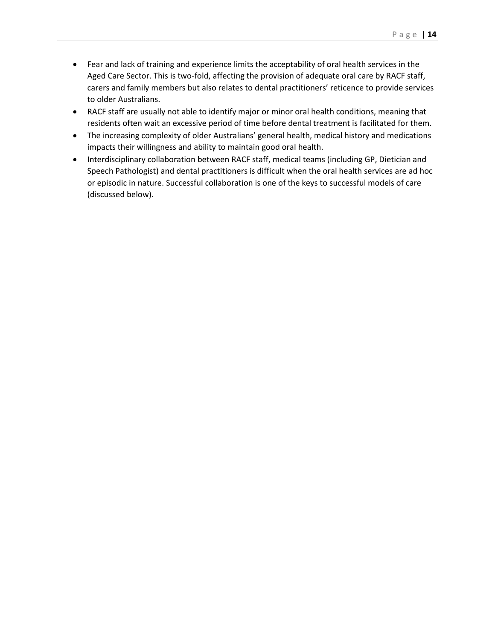- Fear and lack of training and experience limits the acceptability of oral health services in the Aged Care Sector. This is two-fold, affecting the provision of adequate oral care by RACF staff, carers and family members but also relates to dental practitioners' reticence to provide services to older Australians.
- RACF staff are usually not able to identify major or minor oral health conditions, meaning that residents often wait an excessive period of time before dental treatment is facilitated for them.
- The increasing complexity of older Australians' general health, medical history and medications impacts their willingness and ability to maintain good oral health.
- Interdisciplinary collaboration between RACF staff, medical teams (including GP, Dietician and Speech Pathologist) and dental practitioners is difficult when the oral health services are ad hoc or episodic in nature. Successful collaboration is one of the keys to successful models of care (discussed below).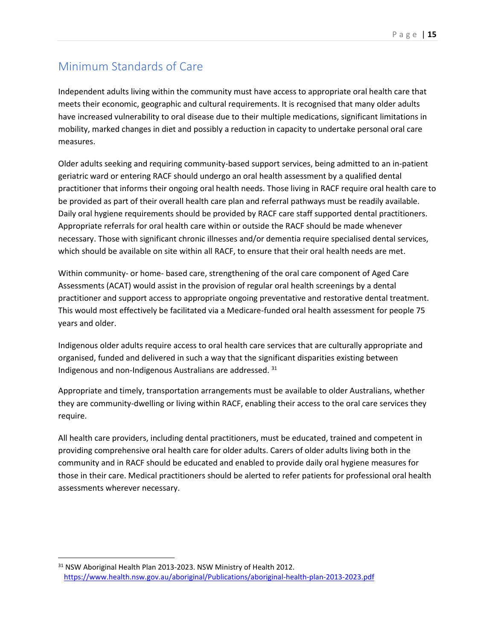## <span id="page-14-0"></span>Minimum Standards of Care

Independent adults living within the community must have access to appropriate oral health care that meets their economic, geographic and cultural requirements. It is recognised that many older adults have increased vulnerability to oral disease due to their multiple medications, significant limitations in mobility, marked changes in diet and possibly a reduction in capacity to undertake personal oral care measures.

Older adults seeking and requiring community-based support services, being admitted to an in-patient geriatric ward or entering RACF should undergo an oral health assessment by a qualified dental practitioner that informs their ongoing oral health needs. Those living in RACF require oral health care to be provided as part of their overall health care plan and referral pathways must be readily available. Daily oral hygiene requirements should be provided by RACF care staff supported dental practitioners. Appropriate referrals for oral health care within or outside the RACF should be made whenever necessary. Those with significant chronic illnesses and/or dementia require specialised dental services, which should be available on site within all RACF, to ensure that their oral health needs are met.

Within community- or home- based care, strengthening of the oral care component of Aged Care Assessments (ACAT) would assist in the provision of regular oral health screenings by a dental practitioner and support access to appropriate ongoing preventative and restorative dental treatment. This would most effectively be facilitated via a Medicare-funded oral health assessment for people 75 years and older.

Indigenous older adults require access to oral health care services that are culturally appropriate and organised, funded and delivered in such a way that the significant disparities existing between Indigenous and non-Indigenous Australians are addressed. <sup>31</sup>

Appropriate and timely, transportation arrangements must be available to older Australians, whether they are community-dwelling or living within RACF, enabling their access to the oral care services they require.

All health care providers, including dental practitioners, must be educated, trained and competent in providing comprehensive oral health care for older adults. Carers of older adults living both in the community and in RACF should be educated and enabled to provide daily oral hygiene measures for those in their care. Medical practitioners should be alerted to refer patients for professional oral health assessments wherever necessary.

 $\overline{\phantom{a}}$ 

<sup>&</sup>lt;sup>31</sup> NSW Aboriginal Health Plan 2013-2023. NSW Ministry of Health 2012. <https://www.health.nsw.gov.au/aboriginal/Publications/aboriginal-health-plan-2013-2023.pdf>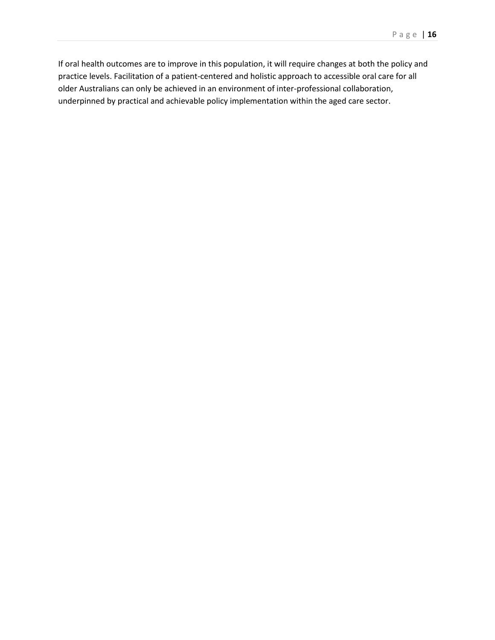If oral health outcomes are to improve in this population, it will require changes at both the policy and practice levels. Facilitation of a patient-centered and holistic approach to accessible oral care for all older Australians can only be achieved in an environment of inter-professional collaboration, underpinned by practical and achievable policy implementation within the aged care sector.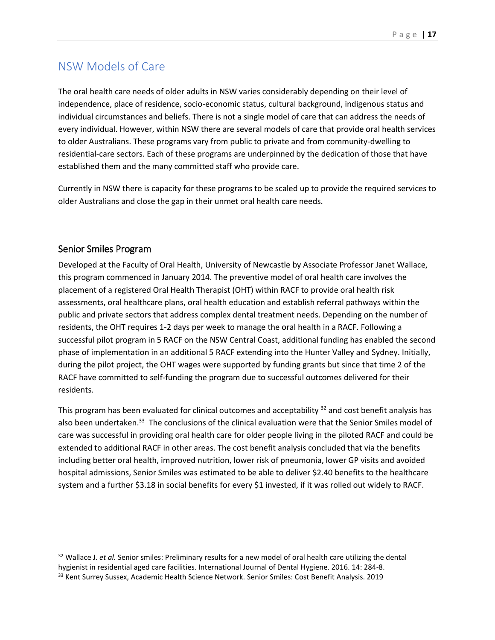### <span id="page-16-0"></span>NSW Models of Care

The oral health care needs of older adults in NSW varies considerably depending on their level of independence, place of residence, socio-economic status, cultural background, indigenous status and individual circumstances and beliefs. There is not a single model of care that can address the needs of every individual. However, within NSW there are several models of care that provide oral health services to older Australians. These programs vary from public to private and from community-dwelling to residential-care sectors. Each of these programs are underpinned by the dedication of those that have established them and the many committed staff who provide care.

Currently in NSW there is capacity for these programs to be scaled up to provide the required services to older Australians and close the gap in their unmet oral health care needs.

#### <span id="page-16-1"></span>Senior Smiles Program

 $\overline{a}$ 

Developed at the Faculty of Oral Health, University of Newcastle by Associate Professor Janet Wallace, this program commenced in January 2014. The preventive model of oral health care involves the placement of a registered Oral Health Therapist (OHT) within RACF to provide oral health risk assessments, oral healthcare plans, oral health education and establish referral pathways within the public and private sectors that address complex dental treatment needs. Depending on the number of residents, the OHT requires 1-2 days per week to manage the oral health in a RACF. Following a successful pilot program in 5 RACF on the NSW Central Coast, additional funding has enabled the second phase of implementation in an additional 5 RACF extending into the Hunter Valley and Sydney. Initially, during the pilot project, the OHT wages were supported by funding grants but since that time 2 of the RACF have committed to self-funding the program due to successful outcomes delivered for their residents.

This program has been evaluated for clinical outcomes and acceptability  $32$  and cost benefit analysis has also been undertaken.<sup>33</sup> The conclusions of the clinical evaluation were that the Senior Smiles model of care was successful in providing oral health care for older people living in the piloted RACF and could be extended to additional RACF in other areas. The cost benefit analysis concluded that via the benefits including better oral health, improved nutrition, lower risk of pneumonia, lower GP visits and avoided hospital admissions, Senior Smiles was estimated to be able to deliver \$2.40 benefits to the healthcare system and a further \$3.18 in social benefits for every \$1 invested, if it was rolled out widely to RACF.

<sup>32</sup> Wallace J. *et al.* Senior smiles: Preliminary results for a new model of oral health care utilizing the dental hygienist in residential aged care facilities. International Journal of Dental Hygiene. 2016. 14: 284-8.

<sup>33</sup> Kent Surrey Sussex, Academic Health Science Network. Senior Smiles: Cost Benefit Analysis. 2019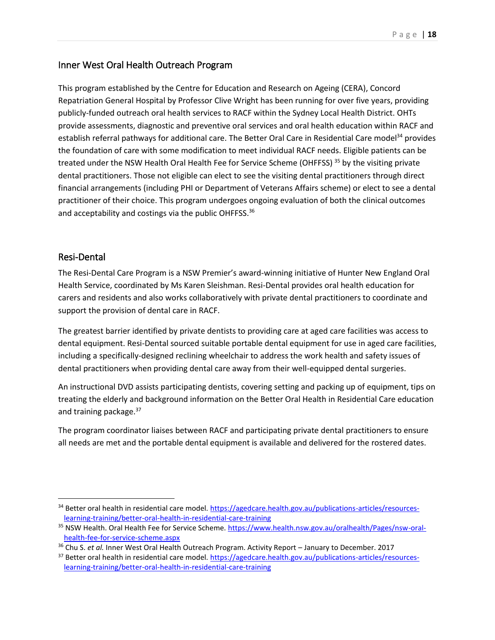#### <span id="page-17-0"></span>Inner West Oral Health Outreach Program

This program established by the Centre for Education and Research on Ageing (CERA), Concord Repatriation General Hospital by Professor Clive Wright has been running for over five years, providing publicly-funded outreach oral health services to RACF within the Sydney Local Health District. OHTs provide assessments, diagnostic and preventive oral services and oral health education within RACF and establish referral pathways for additional care. The Better Oral Care in Residential Care model<sup>34</sup> provides the foundation of care with some modification to meet individual RACF needs. Eligible patients can be treated under the NSW Health Oral Health Fee for Service Scheme (OHFFSS)<sup>35</sup> by the visiting private dental practitioners. Those not eligible can elect to see the visiting dental practitioners through direct financial arrangements (including PHI or Department of Veterans Affairs scheme) or elect to see a dental practitioner of their choice. This program undergoes ongoing evaluation of both the clinical outcomes and acceptability and costings via the public OHFFSS.<sup>36</sup>

#### <span id="page-17-1"></span>Resi-Dental

 $\overline{a}$ 

The Resi-Dental Care Program is a NSW Premier's award-winning initiative of Hunter New England Oral Health Service, coordinated by Ms Karen Sleishman. Resi-Dental provides oral health education for carers and residents and also works collaboratively with private dental practitioners to coordinate and support the provision of dental care in RACF.

The greatest barrier identified by private dentists to providing care at aged care facilities was access to dental equipment. Resi-Dental sourced suitable portable dental equipment for use in aged care facilities, including a specifically-designed reclining wheelchair to address the work health and safety issues of dental practitioners when providing dental care away from their well-equipped dental surgeries.

An instructional DVD assists participating dentists, covering setting and packing up of equipment, tips on treating the elderly and background information on the Better Oral Health in Residential Care education and training package.<sup>37</sup>

The program coordinator liaises between RACF and participating private dental practitioners to ensure all needs are met and the portable dental equipment is available and delivered for the rostered dates.

<sup>&</sup>lt;sup>34</sup> Better oral health in residential care model. [https://agedcare.health.gov.au/publications-articles/resources](https://agedcare.health.gov.au/publications-articles/resources-learning-training/better-oral-health-in-residential-care-training)[learning-training/better-oral-health-in-residential-care-training](https://agedcare.health.gov.au/publications-articles/resources-learning-training/better-oral-health-in-residential-care-training)

<sup>&</sup>lt;sup>35</sup> NSW Health. Oral Health Fee for Service Scheme. [https://www.health.nsw.gov.au/oralhealth/Pages/nsw-oral](https://www.health.nsw.gov.au/oralhealth/Pages/nsw-oral-health-fee-for-service-scheme.aspx)[health-fee-for-service-scheme.aspx](https://www.health.nsw.gov.au/oralhealth/Pages/nsw-oral-health-fee-for-service-scheme.aspx)

<sup>36</sup> Chu S. *et al.* Inner West Oral Health Outreach Program. Activity Report – January to December. 2017

<sup>&</sup>lt;sup>37</sup> Better oral health in residential care model. [https://agedcare.health.gov.au/publications-articles/resources](https://agedcare.health.gov.au/publications-articles/resources-learning-training/better-oral-health-in-residential-care-training)[learning-training/better-oral-health-in-residential-care-training](https://agedcare.health.gov.au/publications-articles/resources-learning-training/better-oral-health-in-residential-care-training)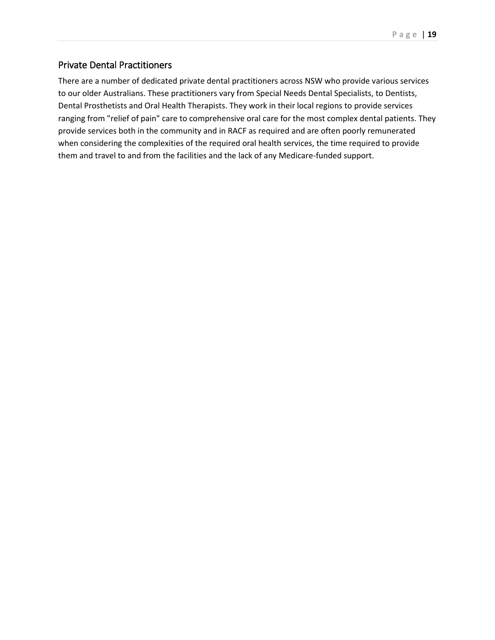#### <span id="page-18-0"></span>Private Dental Practitioners

There are a number of dedicated private dental practitioners across NSW who provide various services to our older Australians. These practitioners vary from Special Needs Dental Specialists, to Dentists, Dental Prosthetists and Oral Health Therapists. They work in their local regions to provide services ranging from "relief of pain" care to comprehensive oral care for the most complex dental patients. They provide services both in the community and in RACF as required and are often poorly remunerated when considering the complexities of the required oral health services, the time required to provide them and travel to and from the facilities and the lack of any Medicare-funded support.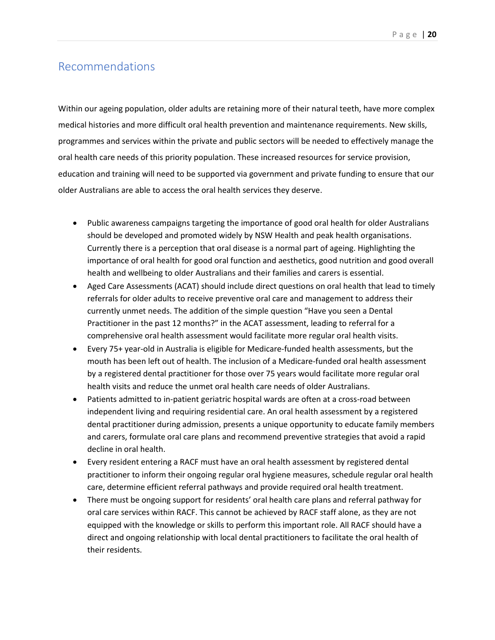#### <span id="page-19-0"></span>Recommendations

Within our ageing population, older adults are retaining more of their natural teeth, have more complex medical histories and more difficult oral health prevention and maintenance requirements. New skills, programmes and services within the private and public sectors will be needed to effectively manage the oral health care needs of this priority population. These increased resources for service provision, education and training will need to be supported via government and private funding to ensure that our older Australians are able to access the oral health services they deserve.

- Public awareness campaigns targeting the importance of good oral health for older Australians should be developed and promoted widely by NSW Health and peak health organisations. Currently there is a perception that oral disease is a normal part of ageing. Highlighting the importance of oral health for good oral function and aesthetics, good nutrition and good overall health and wellbeing to older Australians and their families and carers is essential.
- Aged Care Assessments (ACAT) should include direct questions on oral health that lead to timely referrals for older adults to receive preventive oral care and management to address their currently unmet needs. The addition of the simple question "Have you seen a Dental Practitioner in the past 12 months?" in the ACAT assessment, leading to referral for a comprehensive oral health assessment would facilitate more regular oral health visits.
- Every 75+ year-old in Australia is eligible for Medicare-funded health assessments, but the mouth has been left out of health. The inclusion of a Medicare-funded oral health assessment by a registered dental practitioner for those over 75 years would facilitate more regular oral health visits and reduce the unmet oral health care needs of older Australians.
- Patients admitted to in-patient geriatric hospital wards are often at a cross-road between independent living and requiring residential care. An oral health assessment by a registered dental practitioner during admission, presents a unique opportunity to educate family members and carers, formulate oral care plans and recommend preventive strategies that avoid a rapid decline in oral health.
- Every resident entering a RACF must have an oral health assessment by registered dental practitioner to inform their ongoing regular oral hygiene measures, schedule regular oral health care, determine efficient referral pathways and provide required oral health treatment.
- There must be ongoing support for residents' oral health care plans and referral pathway for oral care services within RACF. This cannot be achieved by RACF staff alone, as they are not equipped with the knowledge or skills to perform this important role. All RACF should have a direct and ongoing relationship with local dental practitioners to facilitate the oral health of their residents.